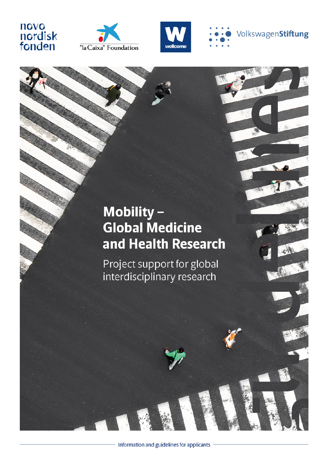# novo<br>nordisk<br>fonden







## Mobility-**Global Medicine** and Health Research

Project support for global interdisciplinary research

Information and guidelines for applicants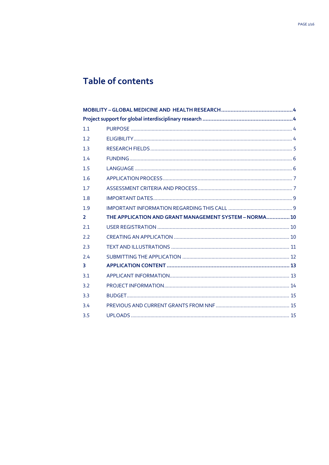## Table of contents

| 1.1            |                                                        |
|----------------|--------------------------------------------------------|
| 1.2            |                                                        |
| 1.3            |                                                        |
| 1.4            |                                                        |
| 1.5            |                                                        |
| 1.6            |                                                        |
| 1.7            |                                                        |
| 1.8            |                                                        |
| 1.9            |                                                        |
|                |                                                        |
| $\overline{2}$ | THE APPLICATION AND GRANT MANAGEMENT SYSTEM - NORMA 10 |
| 2.1            |                                                        |
| 2.2            |                                                        |
| 2.3            |                                                        |
| 2.4            |                                                        |
| 3              |                                                        |
| 3.1            |                                                        |
| 3.2            |                                                        |
| 3.3            |                                                        |
| 3.4            |                                                        |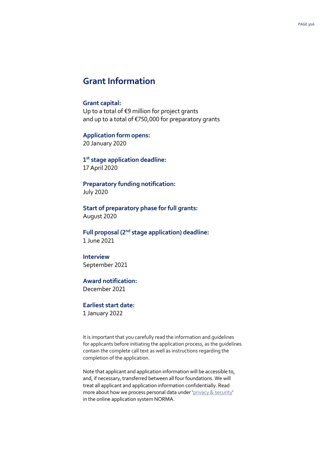## **Grant Information**

#### **Grant capital:**

Up to a total of €9 million for project grants and up to a total of €750,000 for preparatory grants

#### **Application form opens:**

20 January 2020

**1st stage application deadline:** 17 April 2020

**Preparatory funding notification:** July 2020

**Start of preparatory phase for full grants:** August 2020

**Full proposal (2nd stage application) deadline:** 1 June 2021

#### **Interview** September 2021

## **Award notification:**

December 2021

## **Earliest start date:**

1 January 2022

It is important that you carefully read the information and guidelines for applicants before initiating the application process, as the guidelines contain the complete call text as well as instructions regarding the completion of the application.

Note that applicant and application information will be accessible to, and, if necessary, transferred between all four foundations. We will treat all applicant and application information confidentially. Read more about how we process personal data under '[privacy & security](http://novonordiskfonden.dk/wp-content/uploads/privacy_notice_nnf_-_uk.pdf)' in the online application system NORMA.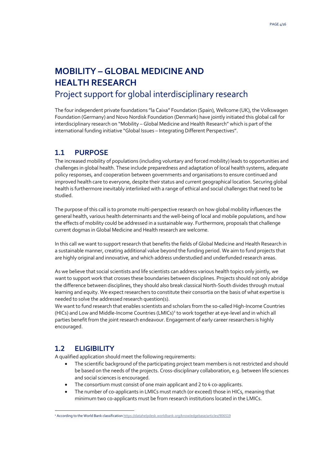## <span id="page-3-0"></span>**MOBILITY – GLOBAL MEDICINE AND HEALTH RESEARCH** Project support for global interdisciplinary research

<span id="page-3-1"></span>The four independent private foundations "la Caixa" Foundation (Spain), Wellcome (UK), the Volkswagen Foundation (Germany) and Novo Nordisk Foundation (Denmark) have jointly initiated this global call for interdisciplinary research on "Mobility – Global Medicine and Health Research" which is part of the international funding initiative "Global Issues – Integrating Different Perspectives".

## <span id="page-3-2"></span>**1.1 PURPOSE**

The increased mobility of populations (including voluntary and forced mobility) leads to opportunities and challenges in global health. These include preparedness and adaptation of local health systems, adequate policy responses, and cooperation between governments and organisations to ensure continued and improved health care to everyone, despite their status and current geographical location. Securing global health is furthermore inevitably interlinked with a range of ethical and social challenges that need to be studied.

The purpose of this call is to promote multi-perspective research on how global mobility influences the general health, various health determinants and the well-being of local and mobile populations, and how the effects of mobility could be addressed in a sustainable way. Furthermore, proposals that challenge current dogmas in Global Medicine and Health research are welcome.

In this call we want to support research that benefits the fields of Global Medicine and Health Research in a sustainable manner, creating additional value beyond the funding period. We aim to fund projects that are highly original and innovative, and which address understudied and underfunded research areas.

As we believe that social scientists and life scientists can address various health topics only jointly, we want to support work that crosses these boundaries between disciplines. Projects should not only abridge the difference between disciplines, they should also break classical North-South divides through mutual learning and equity. We expect researchers to constitute their consortia on the basis of what expertise is needed to solve the addressed research question(s).

We want to fund research that enables scientists and scholars from the so-called High-Income Countries (HICs) and Low and Middle-Income Countries (LMICs)<sup>[1](#page-3-4)</sup> to work together at eye-level and in which all parties benefit from the joint research endeavour. Engagement of early career researchers is highly encouraged.

## <span id="page-3-3"></span>**1.2 ELIGIBILITY**

A qualified application should meet the following requirements:

- The scientific background of the participating project team members is not restricted and should be based on the needs of the projects. Cross-disciplinary collaboration, e.g. between life sciences and social sciences is encouraged.
- The consortium must consist of one main applicant and 2 to 4 co-applicants.
- The number of co-applicants in LMICs must match (or exceed) those in HICs, meaning that minimum two co-applicants must be from research institutions located in the LMICs.

<span id="page-3-4"></span><sup>&</sup>lt;sup>1</sup> According to the World Bank classificatio[n https://datahelpdesk.worldbank.org/knowledgebase/articles/906519](https://datahelpdesk.worldbank.org/knowledgebase/articles/906519)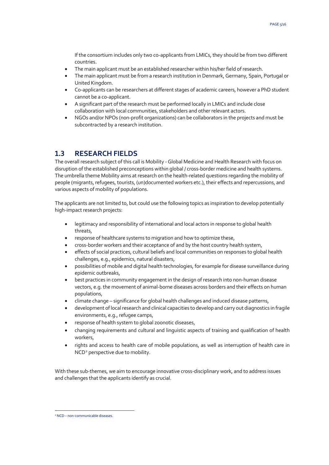If the consortium includes only two co-applicants from LMICs, they should be from two different countries.

- The main applicant must be an established researcher within his/her field of research.
- The main applicant must be from a research institution in Denmark, Germany, Spain, Portugal or United Kingdom.
- Co-applicants can be researchers at different stages of academic careers, however a PhD student cannot be a co-applicant.
- A significant part of the research must be performed locally in LMICs and include close collaboration with local communities, stakeholders and other relevant actors.
- NGOs and/or NPOs (non-profit organizations) can be collaborators in the projects and must be subcontracted by a research institution.

#### <span id="page-4-0"></span>**1.3 RESEARCH FIELDS**

The overall research subject of this call is Mobility - Global Medicine and Health Research with focus on disruption of the established preconceptions within global / cross-border medicine and health systems. The umbrella theme Mobility aims at research on the health-related questions regarding the mobility of people (migrants, refugees, tourists, (un)documented workers etc.), their effects and repercussions, and various aspects of mobility of populations.

The applicants are not limited to, but could use the following topics as inspiration to develop potentially high-impact research projects:

- legitimacy and responsibility of international and local actors in response to global health threats,
- response of healthcare systems to migration and how to optimize these,
- cross-border workers and their acceptance of and by the host country health system,
- effects of social practices, cultural beliefs and local communities on responses to global health challenges, e.g., epidemics, natural disasters,
- possibilities of mobile and digital health technologies, for example for disease surveillance during epidemic outbreaks,
- best practices in community engagement in the design of research into non-human disease vectors, e.g. the movement of animal-borne diseases across borders and their effects on human populations,
- climate change significance for global health challenges and induced disease patterns,
- development of local research and clinical capacities to develop and carry out diagnostics in fragile environments, e.g., refugee camps,
- response of health system to global zoonotic diseases,
- changing requirements and cultural and linguistic aspects of training and qualification of health workers,
- rights and access to health care of mobile populations, as well as interruption of health care in NCD<sup>[2](#page-4-1)</sup> perspective due to mobility.

With these sub-themes, we aim to encourage innovative cross-disciplinary work, and to address issues and challenges that the applicants identify as crucial.

<span id="page-4-1"></span> <sup>2</sup> NCD – non-communicable diseases.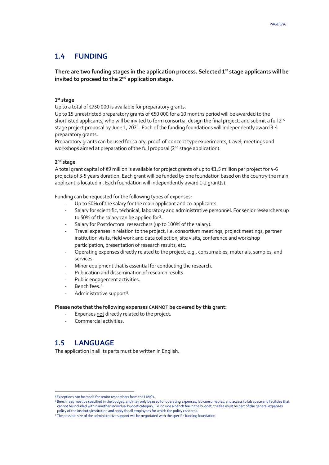## <span id="page-5-0"></span>**1.4 FUNDING**

#### **There are two funding stages in the application process. Selected 1st stage applicants will be invited to proceed to the 2nd application stage.**

#### **1st stage**

Up to a total of €750 000 is available for preparatory grants.

Up to 15 unrestricted preparatory grants of €50 000 for a 10 months period will be awarded to the shortlisted applicants, who will be invited to form consortia, design the final project, and submit a full  $2^{nd}$ stage project proposal by June 1, 2021. Each of the funding foundations will independently award 3-4 preparatory grants.

Preparatory grants can be used for salary, proof-of-concept type experiments, travel, meetings and workshops aimed at preparation of the full proposal (2<sup>nd</sup> stage application).

#### **2nd stage**

A total grant capital of €9 million is available for project grants of up to €1,5 million per project for 4-6 projects of 3-5 years duration. Each grant will be funded by one foundation based on the country the main applicant is located in. Each foundation will independently award 1-2 grant(s).

Funding can be requested for the following types of expenses:

- Up to 50% of the salary for the main applicant and co-applicants.
- Salary for scientific, technical, laboratory and administrative personnel. For senior researchers up to 50% of the salary can be applied for<sup>[3](#page-5-2)</sup>.
- Salary for Postdoctoral researchers (up to 100% of the salary).
- Travel expenses in relation to the project, i.e. consortium meetings, project meetings, partner institution visits, field work and data collection, site visits, conference and workshop participation, presentation of research results, etc.
- Operating expenses directly related to the project, e.g., consumables, materials, samples, and services.
- Minor equipment that is essential for conducting the research.
- Publication and dissemination of research results.
- Public engagement activities.
- Bench fees.<sup>[4](#page-5-3)</sup>
- Administrative support<sup>[5](#page-5-4)</sup>.

#### **Please note that the following expenses CANNOT be covered by this grant:**

- Expenses not directly related to the project.
- <span id="page-5-1"></span>Commercial activities.

## **1.5 LANGUAGE**

The application in all its parts must be written in English.

<span id="page-5-2"></span> <sup>3</sup> Exceptions can be made for senior researchers from the LMICs.

<span id="page-5-3"></span><sup>4</sup> Bench fees must be specified in the budget, and may only be used for operating expenses, lab consumables, and access to lab space and facilities that cannot be included within another individual budget category. To include a bench fee in the budget, the fee must be part of the general expenses policy of the institute/institution and apply for all employees for which the policy concerns.

<span id="page-5-4"></span><sup>5</sup> The possible size of the administrative support will be negotiated with the specific funding foundation.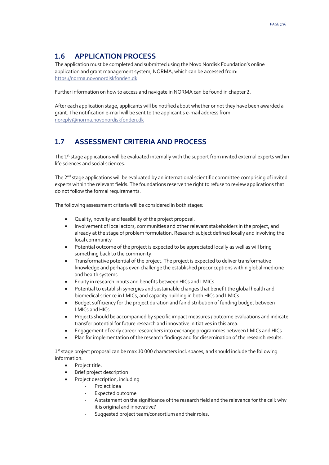## <span id="page-6-0"></span>**1.6 APPLICATION PROCESS**

The application must be completed and submitted using the Novo Nordisk Foundation's online application and grant management system, NORMA, which can be accessed from: [https://norma.novonordiskfonden.dk](https://norma.novonordiskfonden.dk/)

Further information on how to access and navigate in NORMA can be found in chapter 2.

After each application stage, applicants will be notified about whether or not they have been awarded a grant. The notification e-mail will be sent to the applicant's e-mail address from [noreply@norma.novonordiskfonden.dk](mailto:noreply@norma.novonordiskfonden.dk)

## <span id="page-6-1"></span>**1.7 ASSESSMENT CRITERIA AND PROCESS**

The  $1<sup>st</sup>$  stage applications will be evaluated internally with the support from invited external experts within life sciences and social sciences.

The  $2<sup>nd</sup>$  stage applications will be evaluated by an international scientific committee comprising of invited experts within the relevant fields. The foundations reserve the right to refuse to review applications that do not follow the formal requirements.

The following assessment criteria will be considered in both stages:

- Quality, novelty and feasibility of the project proposal.
- Involvement of local actors, communities and other relevant stakeholders in the project, and already at the stage of problem formulation. Research subject defined locally and involving the local community
- Potential outcome of the project is expected to be appreciated locally as well as will bring something back to the community.
- Transformative potential of the project. The project is expected to deliver transformative knowledge and perhaps even challenge the established preconceptions within global medicine and health systems
- Equity in research inputs and benefits between HICs and LMICs
- Potential to establish synergies and sustainable changes that benefit the global health and biomedical science in LMICs, and capacity building in both HICs and LMICs
- Budget sufficiency for the project duration and fair distribution of funding budget between LMICs and HICs
- Projects should be accompanied by specific impact measures / outcome evaluations and indicate transfer potential for future research and innovative initiatives in this area.
- Engagement of early career researchers into exchange programmes between LMICs and HICs.
- Plan for implementation of the research findings and for dissemination of the research results.

1<sup>st</sup> stage project proposal can be max 10 000 characters incl. spaces, and should include the following information:

- Project title.
- **Brief project description**
- Project description, including
	- Project idea
	- Expected outcome
	- A statement on the significance of the research field and the relevance for the call: why it is original and innovative?
	- Suggested project team/consortium and their roles.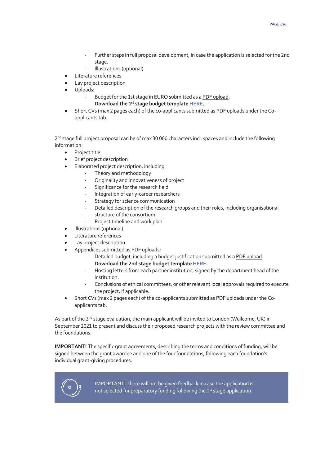- Further steps in full proposal development, in case the application is selected for the 2nd stage.
- Illustrations (optional)
- Literature references
- Lay project description
- Uploads:
	- Budget for the 1st stage in EURO submitted as a PDF upload.
		- **Download the 1st stage budget templat[e HERE.](https://norma.novonordiskfonden.dk/files/454851/f114209/Mobility_in_Global_Health_Perspective_2020_-_Stage_1_-_Budget_template.docx)**
- Short CVs (max 2 pages each) of the co-applicants submitted as PDF uploads under the Coapplicants tab.

2<sup>nd</sup> stage full project proposal can be of max 30 000 characters incl. spaces and include the following information:

- Project title
- Brief project description
- Elaborated project description, including
	- Theory and methodology
	- Originality and innovativeness of project
	- Significance for the research field
	- Integration of early-career researchers
	- Strategy for science communication
	- Detailed description of the research groups and their roles, including organisational structure of the consortium
	- Project timeline and work plan
- Illustrations (optional)
- Literature references
- Lay project description
- Appendices submitted as PDF uploads:
	- Detailed budget, including a budget justification submitted as a PDF upload. **Download the 2nd stage budget template [HERE.](https://norma.novonordiskfonden.dk/files/454851/f114209/Mobility_in_Global_Health_Perspective_2020_-_Stage_2_-_Budget_template.docx)**
	- Hosting letters from each partner institution, signed by the department head of the institution.
	- Conclusions of ethical committees, or other relevant local approvals required to execute the project, if applicable.
- Short CVs (max 2 pages each) of the co-applicants submitted as PDF uploads under the Coapplicants tab.

As part of the 2<sup>nd</sup> stage evaluation, the main applicant will be invited to London (Wellcome, UK) in September 2021 to present and discuss their proposed research projects with the review committee and the foundations.

**IMPORTANT!** The specific grant agreements, describing the terms and conditions of funding, will be signed between the grant awardee and one of the four foundations, following each foundation's individual grant-giving procedures.



IMPORTANT! There will not be given feedback in case the application is not selected for preparatory funding following the 1<sup>st</sup> stage application.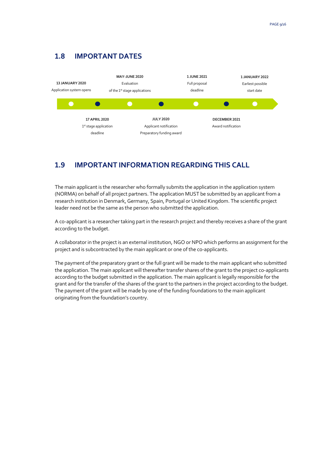## <span id="page-8-0"></span>**1.8 IMPORTANT DATES**



## <span id="page-8-1"></span>**1.9 IMPORTANT INFORMATION REGARDING THIS CALL**

The main applicant is the researcher who formally submits the application in the application system (NORMA) on behalf of all project partners. The application MUST be submitted by an applicant from a research institution in Denmark, Germany, Spain, Portugal or United Kingdom. The scientific project leader need not be the same as the person who submitted the application.

A co-applicant is a researcher taking part in the research project and thereby receives a share of the grant according to the budget.

A collaborator in the project is an external institution, NGO or NPO which performs an assignment for the project and is subcontracted by the main applicant or one of the co-applicants.

The payment of the preparatory grant or the full grant will be made to the main applicant who submitted the application. The main applicant will thereafter transfer shares of the grant to the project co-applicants according to the budget submitted in the application. The main applicant is legally responsible for the grant and for the transfer of the shares of the grant to the partners in the project according to the budget. The payment of the grant will be made by one of the funding foundations to the main applicant originating from the foundation's country.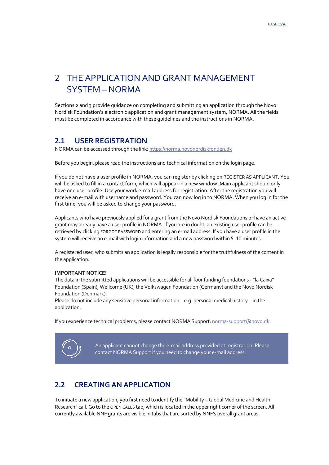## <span id="page-9-0"></span>2 THE APPLICATION AND GRANT MANAGEMENT SYSTEM – NORMA

Sections 2 and 3 provide guidance on completing and submitting an application through the Novo Nordisk Foundation's electronic application and grant management system, NORMA. All the fields must be completed in accordance with these guidelines and the instructions in NORMA.

## <span id="page-9-1"></span>**2.1 USER REGISTRATION**

NORMA can be accessed through the link[: https://norma.novonordiskfonden.dk](https://norma.novonordiskfonden.dk/)

Before you begin, please read the instructions and technical information on the login page.

If you do not have a user profile in NORMA, you can register by clicking on REGISTER AS APPLICANT. You will be asked to fill in a contact form, which will appear in a new window. Main applicant should only have one user profile. Use your work e-mail address for registration. After the registration you will receive an e-mail with username and password. You can now log in to NORMA. When you log in for the first time, you will be asked to change your password.

Applicants who have previously applied for a grant from the Novo Nordisk Foundations or have an active grant may already have a user profile in NORMA. If you are in doubt, an existing user profile can be retrieved by clicking FORGOT PASSWORD and entering an e-mail address. If you have a user profile in the system will receive an e-mail with login information and a new password within 5–10 minutes.

A registered user, who submits an application is legally responsible for the truthfulness of the content in the application.

#### **IMPORTANT NOTICE!**

The data in the submitted applications will be accessible for all four funding foundations -"la Caixa" Foundation (Spain), Wellcome (UK), the Volkswagen Foundation (Germany) and the Novo Nordisk Foundation (Denmark).

Please do not include any sensitive personal information – e.g. personal medical history – in the application.

If you experience technical problems, please contact NORMA Support: norma-[support@novo.dk.](mailto:norma-support@novo.dk)



An applicant cannot change the e-mail address provided at registration. Please contact NORMA Support if you need to change your e-mail address.

## <span id="page-9-2"></span>**2.2 CREATING AN APPLICATION**

To initiate a new application, you first need to identify the "Mobility – Global Medicine and Health Research" call. Go to the OPEN CALLS tab, which is located in the upper right corner of the screen. All currently available NNF grants are visible in tabs that are sorted by NNF's overall grant areas.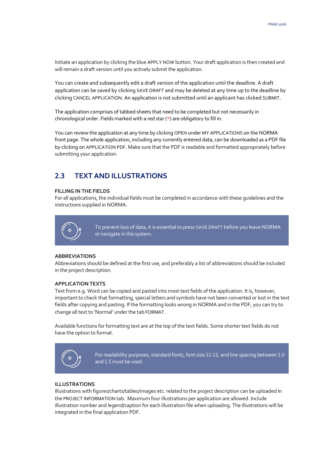Initiate an application by clicking the blue APPLY NOW button. Your draft application is then created and will remain a draft version until you actively submit the application.

You can create and subsequently edit a draft version of the application until the deadline. A draft application can be saved by clicking SAVE DRAFT and may be deleted at any time up to the deadline by clicking CANCEL APPLICATION. An application is not submitted until an applicant has clicked SUBMIT.

The application comprises of tabbed sheets that need to be completed but not necessarily in chronological order. Fields marked with a red star (\*) are obligatory to fill in.

You can review the application at any time by clicking OPEN under MY APPLICATIONS on the NORMA front page. The whole application, including any currently entered data, can be downloaded as a PDF file by clicking on APPLICATION PDF. Make sure that the PDF is readable and formatted appropriately before submitting your application.

## <span id="page-10-0"></span>**2.3 TEXT AND ILLUSTRATIONS**

#### **FILLING IN THE FIELDS**

For all applications, the individual fields must be completed in accordance with these guidelines and the instructions supplied in NORMA.



To prevent loss of data, it is essential to press SAVE DRAFT before you leave NORMA or navigate in the system.

#### **ABBREVIATIONS**

Abbreviations should be defined at the first use, and preferably a list of abbreviations should be included in the project description.

#### **APPLICATION TEXTS**

Text from e.g. Word can be copied and pasted into most text fields of the application. It is, however, important to check that formatting, special letters and symbols have not been converted or lost in the text fields after copying and pasting. If the formatting looks wrong in NORMA and in the PDF, you can try to change all text to 'Normal' under the tab FORMAT.

Available functions for formatting text are at the top of the text fields. Some shorter text fields do not have the option to format.



For readability purposes, standard fonts, font size 11-12, and line spacing between 1.0 and 1.5 must be used.

#### **ILLUSTRATIONS**

Illustrations with figures/charts/tables/images etc. related to the project description can be uploaded In the PROJECT INFORMATION tab. Maximum four illustrations per application are allowed. Include illustration number and legend/caption for each illustration file when uploading. The illustrations will be integrated in the final application PDF.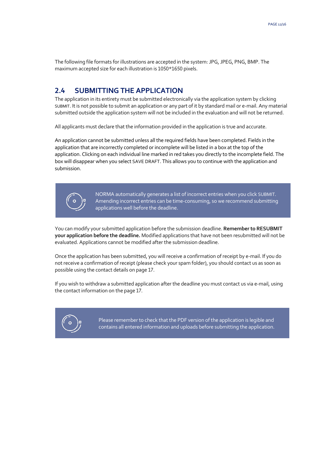<span id="page-11-0"></span>The following file formats for illustrations are accepted in the system: JPG, JPEG, PNG, BMP. The maximum accepted size for each illustration is 1050\*1650 pixels.

#### **2.4 SUBMITTING THE APPLICATION**

The application in its entirety must be submitted electronically via the application system by clicking SUBMIT. It is not possible to submit an application or any part of it by standard mail or e-mail. Any material submitted outside the application system will not be included in the evaluation and will not be returned.

All applicants must declare that the information provided in the application is true and accurate.

An application cannot be submitted unless all the required fields have been completed. Fields in the application that are incorrectly completed or incomplete will be listed in a box at the top of the application. Clicking on each individual line marked in red takes you directly to the incomplete field. The box will disappear when you select SAVE DRAFT. This allows you to continue with the application and submission.



NORMA automatically generates a list of incorrect entries when you click SUBMIT. Amending incorrect entries can be time-consuming, so we recommend submitting applications well before the deadline.

You can modify your submitted application before the submission deadline. **Remember to RESUBMIT your application before the deadline.** Modified applications that have not been resubmitted will not be evaluated. Applications cannot be modified after the submission deadline.

Once the application has been submitted, you will receive a confirmation of receipt by e-mail. If you do not receive a confirmation of receipt (please check your spam folder), you should contact us as soon as possible using the contact details on page 17.

If you wish to withdraw a submitted application after the deadline you must contact us via e-mail, using the contact information on the page 17.

<span id="page-11-1"></span>

Please remember to check that the PDF version of the application is legible and contains all entered information and uploads before submitting the application.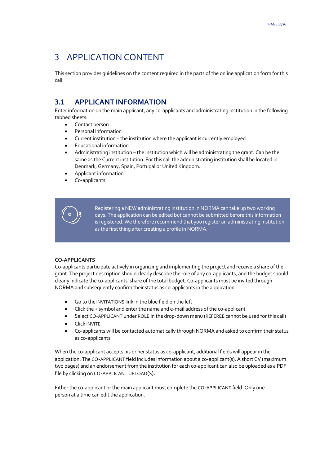## 3 APPLICATION CONTENT

<span id="page-12-0"></span>This section provides guidelines on the content required in the parts of the online application form for this call.

### **3.1 APPLICANT INFORMATION**

Enter information on the main applicant, any co-applicants and administrating institution in the following tabbed sheets:

- Contact person
- Personal Information
- Current institution the institution where the applicant is currently employed
- Educational information
- Administrating institution the institution which will be administrating the grant. Can be the same as the Current institution. For this call the administrating institution shall be located in Denmark, Germany, Spain, Portugal or United Kingdom.
- Applicant information
- Co-applicants



Registering a NEW administrating institution in NORMA can take up two working days. The application can be edited but cannot be submitted before this information is registered. We therefore recommend that you register an administrating institution as the first thing after creating a profile in NORMA.

#### **CO-APPLICANTS**

Co-applicants participate actively in organizing and implementing the project and receive a share of the grant. The project description should clearly describe the role of any co-applicants, and the budget should clearly indicate the co-applicants' share of the total budget. Co-applicants must be invited through NORMA and subsequently confirm their status as co-applicants in the application.

- Go to the INVITATIONS link in the blue field on the left
- Click the + symbol and enter the name and e-mail address of the co-applicant
- Select CO-APPLICANT under ROLE in the drop-down menu (REFEREE cannot be used for this call)
- Click INVITE
- Co-applicants will be contacted automatically through NORMA and asked to confirm their status as co-applicants

When the co-applicant accepts his or her status as co-applicant, additional fields will appear in the application. The CO-APPLICANT field includes information about a co-applicant(s). A short CV (maximum two pages) and an endorsement from the institution for each co-applicant can also be uploaded as a PDF file by clicking on CO-APPLICANT UPLOAD(S).

Either the co-applicant or the main applicant must complete the CO-APPLICANT field. Only one person at a time can edit the application.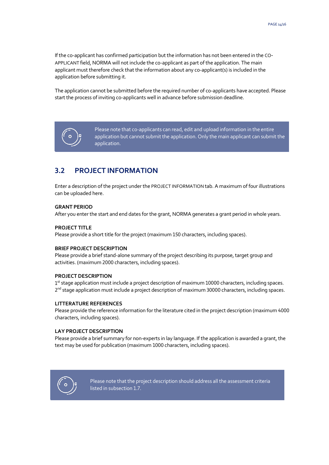If the co-applicant has confirmed participation but the information has not been entered in the CO-APPLICANT field, NORMA will not include the co-applicant as part of the application. The main applicant must therefore check that the information about any co-applicant(s) is included in the application before submitting it.

The application cannot be submitted before the required number of co-applicants have accepted. Please start the process of inviting co-applicants well in advance before submission deadline.



Please note that co-applicants can read, edit and upload information in the entire application but cannot submit the application. Only the main applicant can submit the application.

## <span id="page-13-0"></span>**3.2 PROJECT INFORMATION**

Enter a description of the project under the PROJECT INFORMATIONtab. A maximum of four illustrations can be uploaded here.

#### **GRANT PERIOD**

After you enter the start and end dates for the grant, NORMA generates a grant period in whole years.

#### **PROJECT TITLE**

Please provide a short title for the project (maximum 150 characters, including spaces).

#### **BRIEF PROJECT DESCRIPTION**

Please provide a brief stand-alone summary of the project describing its purpose, target group and activities. (maximum 2000 characters, including spaces).

#### **PROJECT DESCRIPTION**

1<sup>st</sup> stage application must include a project description of maximum 10000 characters, including spaces. 2<sup>nd</sup> stage application must include a project description of maximum 30000 characters, including spaces.

#### **LITTERATURE REFERENCES**

Please provide the reference information for the literature cited in the project description (maximum 4000 characters, including spaces).

#### **LAY PROJECT DESCRIPTION**

Please provide a brief summary for non-experts in lay language. If the application is awarded a grant, the text may be used for publication (maximum 1000 characters, including spaces).



Please note that the project description should address all the assessment criteria listed in subsection 1.7.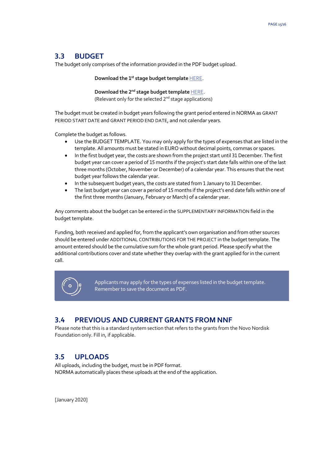## <span id="page-14-0"></span>**3.3 BUDGET**

The budget only comprises of the information provided in the PDF budget upload.

**Download the 1st stage budget template** [HERE](https://norma.novonordiskfonden.dk/files/454851/f114209/Mobility_in_Global_Health_Perspective_2020_-_Stage_1_-_Budget_template.docx).

**Download the 2nd stage budget template** [HERE](https://norma.novonordiskfonden.dk/files/454851/f114209/Mobility_in_Global_Health_Perspective_2020_-_Stage_2_-_Budget_template.docx). (Relevant only for the selected  $2<sup>nd</sup>$  stage applications)

The budget must be created in budget years following the grant period entered in NORMA as GRANT PERIOD START DATE and GRANT PERIOD END DATE, and not calendar years.

Complete the budget as follows.

- Use the BUDGET TEMPLATE. You may only apply for the types of expenses that are listed in the template. All amounts must be stated in EURO without decimal points, commas or spaces.
- In the first budget year, the costs are shown from the project start until 31 December. The first budget year can cover a period of 15 months if the project's start date falls within one of the last three months (October, November or December) of a calendar year. This ensures that the next budget year follows the calendar year.
- In the subsequent budget years, the costs are stated from 1 January to 31 December.
- The last budget year can cover a period of 15 months if the project's end date falls within one of the first three months (January, February or March) of a calendar year.

Any comments about the budget can be entered in the SUPPLEMENTARY INFORMATION field in the budget template.

Funding, both received and applied for, from the applicant's own organisation and from other sources should be entered under ADDITIONAL CONTRIBUTIONS FOR THE PROJECT in the budget template. The amount entered should be the cumulative sum for the whole grant period. Please specify what the additional contributions cover and state whether they overlap with the grant applied for in the current call.



Applicants may apply for the types of expenses listed in the budget template. Remember to save the document as PDF.

## <span id="page-14-1"></span>**3.4 PREVIOUS AND CURRENT GRANTS FROM NNF**

<span id="page-14-2"></span>Please note that this is a standard system section that refers to the grants from the Novo Nordisk Foundation only. Fill in, if applicable.

## **3.5 UPLOADS**

All uploads, including the budget, must be in PDF format. NORMA automatically places these uploads at the end of the application.

[January 2020]